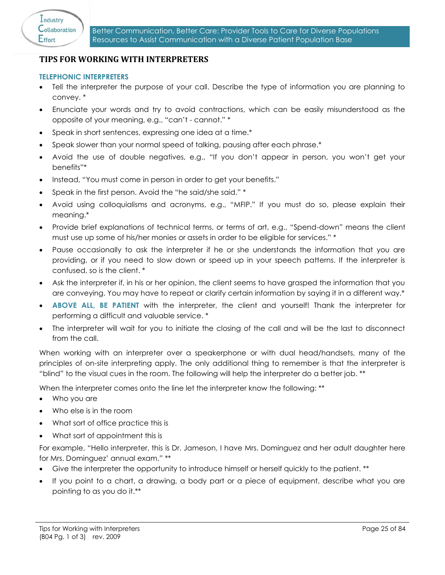## **4. TIPS FOR WORKING WITH INTERPRETERS**

## **TELEPHONIC INTERPRETERS**

- Tell the interpreter the purpose of your call. Describe the type of information you are planning to convey. \*
- Enunciate your words and try to avoid contractions, which can be easily misunderstood as the opposite of your meaning, e.g., "can't - cannot." \*
- Speak in short sentences, expressing one idea at a time.\*
- Speak slower than your normal speed of talking, pausing after each phrase.\*
- Avoid the use of double negatives, e.g., "If you don't appear in person, you won't get your benefits"\*
- Instead, "You must come in person in order to get your benefits."
- Speak in the first person. Avoid the "he said/she said." \*
- Avoid using colloquialisms and acronyms, e.g., "MFIP." If you must do so, please explain their meaning.\*
- Provide brief explanations of technical terms, or terms of art, e.g., "Spend-down" means the client must use up some of his/her monies or assets in order to be eligible for services." \*
- Pause occasionally to ask the interpreter if he or she understands the information that you are providing, or if you need to slow down or speed up in your speech patterns. If the interpreter is confused, so is the client. \*
- Ask the interpreter if, in his or her opinion, the client seems to have grasped the information that you are conveying. You may have to repeat or clarify certain information by saying it in a different way.\*
- **ABOVE ALL, BE PATIENT** with the interpreter, the client and yourself! Thank the interpreter for performing a difficult and valuable service. \*
- The interpreter will wait for you to initiate the closing of the call and will be the last to disconnect from the call.

When working with an interpreter over a speakerphone or with dual head/handsets, many of the principles of on-site interpreting apply. The only additional thing to remember is that the interpreter is "blind" to the visual cues in the room. The following will help the interpreter do a better job. \*\*

When the interpreter comes onto the line let the interpreter know the following: \*\*

- Who you are
- Who else is in the room
- What sort of office practice this is
- What sort of appointment this is

For example, "Hello interpreter, this is Dr. Jameson, I have Mrs. Dominguez and her adult daughter here for Mrs. Dominguez' annual exam." \*\*

- Give the interpreter the opportunity to introduce himself or herself quickly to the patient. \*\*
- If you point to a chart, a drawing, a body part or a piece of equipment, describe what you are pointing to as you do it.\*\*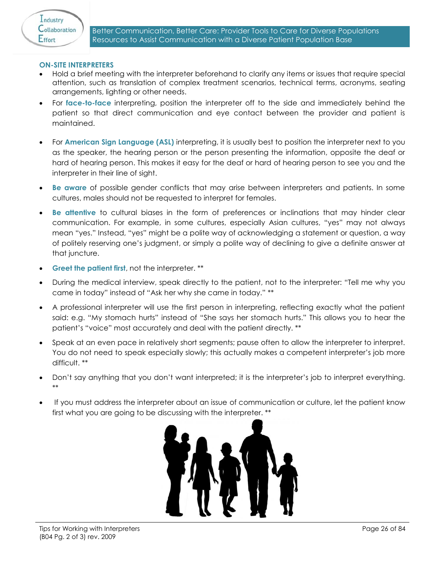

## **ON-SITE INTERPRETERS**

- Hold a brief meeting with the interpreter beforehand to clarify any items or issues that require special attention, such as translation of complex treatment scenarios, technical terms, acronyms, seating arrangements, lighting or other needs.
- For **face-to-face** interpreting, position the interpreter off to the side and immediately behind the patient so that direct communication and eye contact between the provider and patient is maintained.
- For **American Sign Language (ASL)** interpreting, it is usually best to position the interpreter next to you as the speaker, the hearing person or the person presenting the information, opposite the deaf or hard of hearing person. This makes it easy for the deaf or hard of hearing person to see you and the interpreter in their line of sight.
- **Be aware** of possible gender conflicts that may arise between interpreters and patients. In some cultures, males should not be requested to interpret for females.
- **Be attentive** to cultural biases in the form of preferences or inclinations that may hinder clear communication. For example, in some cultures, especially Asian cultures, "yes" may not always mean "yes." Instead, "yes" might be a polite way of acknowledging a statement or question, a way of politely reserving one's judgment, or simply a polite way of declining to give a definite answer at that juncture.
- **Greet the patient first**, not the interpreter. \*\*
- During the medical interview, speak directly to the patient, not to the interpreter: "Tell me why you came in today" instead of "Ask her why she came in today." \*\*
- A professional interpreter will use the first person in interpreting, reflecting exactly what the patient said: e.g. "My stomach hurts" instead of "She says her stomach hurts." This allows you to hear the patient's "voice" most accurately and deal with the patient directly. \*\*
- Speak at an even pace in relatively short segments; pause often to allow the interpreter to interpret. You do not need to speak especially slowly; this actually makes a competent interpreter's job more difficult. \*\*
- Don't say anything that you don't want interpreted; it is the interpreter's job to interpret everything. \*\*
- If you must address the interpreter about an issue of communication or culture, let the patient know first what you are going to be discussing with the interpreter. \*\*